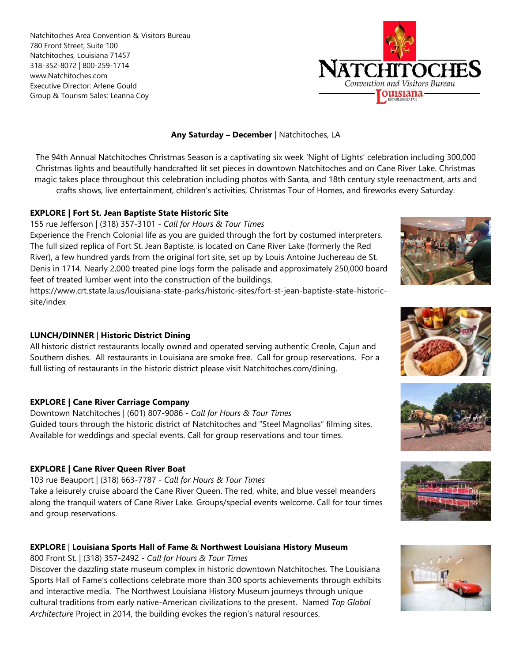Natchitoches Area Convention & Visitors Bureau 780 Front Street, Suite 100 Natchitoches, Louisiana 71457 318-352-8072 | 800-259-1714 www.Natchitoches.com Executive Director: Arlene Gould Group & Tourism Sales: Leanna Coy



## **Any Saturday – December** | Natchitoches, LA

The 94th Annual Natchitoches Christmas Season is a captivating six week 'Night of Lights' celebration including 300,000 Christmas lights and beautifully handcrafted lit set pieces in downtown Natchitoches and on Cane River Lake. Christmas magic takes place throughout this celebration including photos with Santa, and 18th century style reenactment, arts and crafts shows, live entertainment, children's activities, Christmas Tour of Homes, and fireworks every Saturday.

## **EXPLORE | Fort St. Jean Baptiste State Historic Site**

155 rue Jefferson | (318) 357-3101 - *Call for Hours & Tour Times* Experience the French Colonial life as you are guided through the fort by costumed interpreters. The full sized replica of Fort St. Jean Baptiste, is located on Cane River Lake (formerly the Red River), a few hundred yards from the original fort site, set up by Louis Antoine Juchereau de St. Denis in 1714. Nearly 2,000 treated pine logs form the palisade and approximately 250,000 board feet of treated lumber went into the construction of the buildings.

https://www.crt.state.la.us/louisiana-state-parks/historic-sites/fort-st-jean-baptiste-state-historicsite/index

# **LUNCH/DINNER** | **Historic District Dining**

All historic district restaurants locally owned and operated serving authentic Creole, Cajun and Southern dishes. All restaurants in Louisiana are smoke free. Call for group reservations. For a full listing of restaurants in the historic district please visit Natchitoches.com/dining.

# **EXPLORE | Cane River Carriage Company**

Downtown Natchitoches | (601) 807-9086 *- Call for Hours & Tour Times* Guided tours through the historic district of Natchitoches and "Steel Magnolias" filming sites. Available for weddings and special events. Call for group reservations and tour times.

# **EXPLORE | Cane River Queen River Boat**

103 rue Beauport | (318) 663-7787 *- Call for Hours & Tour Times* Take a leisurely cruise aboard the Cane River Queen. The red, white, and blue vessel meanders along the tranquil waters of Cane River Lake. Groups/special events welcome. Call for tour times and group reservations.

## **EXPLORE** | **Louisiana Sports Hall of Fame & Northwest Louisiana History Museum**

800 Front St. | (318) 357-2492 *- Call for Hours & Tour Times*

Discover the dazzling state museum complex in historic downtown Natchitoches. The Louisiana Sports Hall of Fame's collections celebrate more than 300 sports achievements through exhibits and interactive media. The Northwest Louisiana History Museum journeys through unique cultural traditions from early native-American civilizations to the present. Named *Top Global Architecture* Project in 2014, the building evokes the region's natural resources.









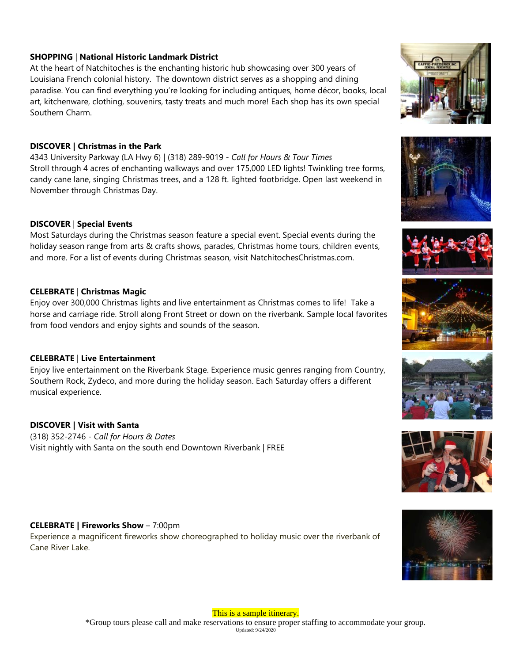#### **SHOPPING** | **National Historic Landmark District**

At the heart of Natchitoches is the enchanting historic hub showcasing over 300 years of Louisiana French colonial history. The downtown district serves as a shopping and dining paradise. You can find everything you're looking for including antiques, home décor, books, local art, kitchenware, clothing, souvenirs, tasty treats and much more! Each shop has its own special Southern Charm.

#### **DISCOVER | Christmas in the Park**

4343 University Parkway (LA Hwy 6) | (318) 289-9019 *- Call for Hours & Tour Times* Stroll through 4 acres of enchanting walkways and over 175,000 LED lights! Twinkling tree forms, candy cane lane, singing Christmas trees, and a 128 ft. lighted footbridge. Open last weekend in November through Christmas Day.

#### **DISCOVER** | **Special Events**

Most Saturdays during the Christmas season feature a special event. Special events during the holiday season range from arts & crafts shows, parades, Christmas home tours, children events, and more. For a list of events during Christmas season, visit NatchitochesChristmas.com.

#### **CELEBRATE** | **Christmas Magic**

Enjoy over 300,000 Christmas lights and live entertainment as Christmas comes to life! Take a horse and carriage ride. Stroll along Front Street or down on the riverbank. Sample local favorites from food vendors and enjoy sights and sounds of the season.

#### **CELEBRATE** | **Live Entertainment**

Enjoy live entertainment on the Riverbank Stage. Experience music genres ranging from Country, Southern Rock, Zydeco, and more during the holiday season. Each Saturday offers a different musical experience.

## **DISCOVER | Visit with Santa**

(318) 352-2746 *- Call for Hours & Dates* Visit nightly with Santa on the south end Downtown Riverbank | FREE

#### **CELEBRATE | Fireworks Show** – 7:00pm

Experience a magnificent fireworks show choreographed to holiday music over the riverbank of Cane River Lake.











#### This is a sample itinerary. \*Group tours please call and make reservations to ensure proper staffing to accommodate your group. Updated: 9/24/2020